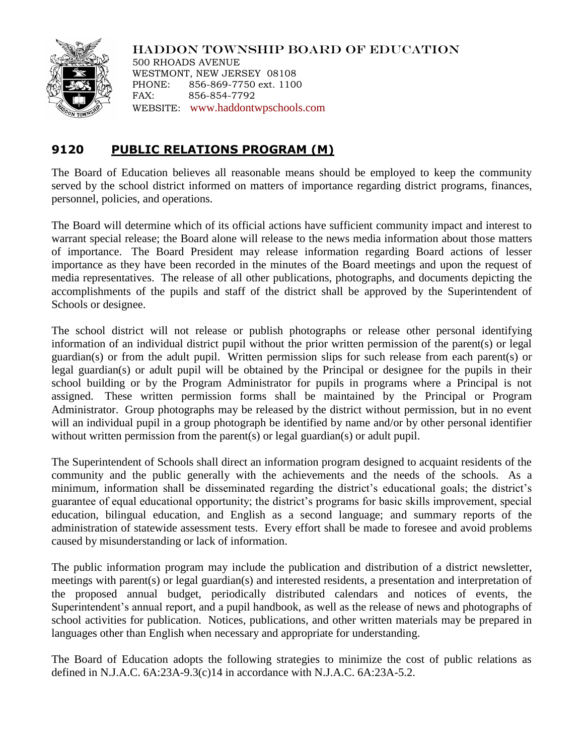

HADDON TOWNSHIP BOARD OF EDUCATION 500 RHOADS AVENUE WESTMONT, NEW JERSEY 08108 PHONE: 856-869-7750 ext. 1100 FAX: 856-854-7792 WEBSITE: [www.haddontwpschools.com](http://www.haddontwpschools.com/)

## **9120 PUBLIC RELATIONS PROGRAM (M)**

The Board of Education believes all reasonable means should be employed to keep the community served by the school district informed on matters of importance regarding district programs, finances, personnel, policies, and operations.

The Board will determine which of its official actions have sufficient community impact and interest to warrant special release; the Board alone will release to the news media information about those matters of importance. The Board President may release information regarding Board actions of lesser importance as they have been recorded in the minutes of the Board meetings and upon the request of media representatives. The release of all other publications, photographs, and documents depicting the accomplishments of the pupils and staff of the district shall be approved by the Superintendent of Schools or designee.

The school district will not release or publish photographs or release other personal identifying information of an individual district pupil without the prior written permission of the parent(s) or legal guardian(s) or from the adult pupil. Written permission slips for such release from each parent(s) or legal guardian(s) or adult pupil will be obtained by the Principal or designee for the pupils in their school building or by the Program Administrator for pupils in programs where a Principal is not assigned. These written permission forms shall be maintained by the Principal or Program Administrator. Group photographs may be released by the district without permission, but in no event will an individual pupil in a group photograph be identified by name and/or by other personal identifier without written permission from the parent(s) or legal guardian(s) or adult pupil.

The Superintendent of Schools shall direct an information program designed to acquaint residents of the community and the public generally with the achievements and the needs of the schools. As a minimum, information shall be disseminated regarding the district's educational goals; the district's guarantee of equal educational opportunity; the district's programs for basic skills improvement, special education, bilingual education, and English as a second language; and summary reports of the administration of statewide assessment tests. Every effort shall be made to foresee and avoid problems caused by misunderstanding or lack of information.

The public information program may include the publication and distribution of a district newsletter, meetings with parent(s) or legal guardian(s) and interested residents, a presentation and interpretation of the proposed annual budget, periodically distributed calendars and notices of events, the Superintendent's annual report, and a pupil handbook, as well as the release of news and photographs of school activities for publication. Notices, publications, and other written materials may be prepared in languages other than English when necessary and appropriate for understanding.

The Board of Education adopts the following strategies to minimize the cost of public relations as defined in N.J.A.C. 6A:23A-9.3(c)14 in accordance with N.J.A.C. 6A:23A-5.2.